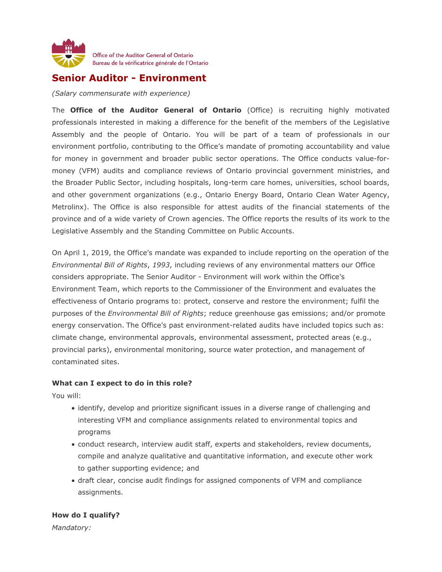

# **Senior Auditor - Environment**

*(Salary commensurate with experience)*

The **Office of the Auditor General of Ontario** (Office) is recruiting highly motivated professionals interested in making a difference for the benefit of the members of the Legislative Assembly and the people of Ontario. You will be part of a team of professionals in our environment portfolio, contributing to the Office's mandate of promoting accountability and value for money in government and broader public sector operations. The Office conducts value-formoney (VFM) audits and compliance reviews of Ontario provincial government ministries, and the Broader Public Sector, including hospitals, long-term care homes, universities, school boards, and other government organizations (e.g., Ontario Energy Board, Ontario Clean Water Agency, Metrolinx). The Office is also responsible for attest audits of the financial statements of the province and of a wide variety of Crown agencies. The Office reports the results of its work to the Legislative Assembly and the Standing Committee on Public Accounts.

On April 1, 2019, the Office's mandate was expanded to include reporting on the operation of the *Environmental Bill of Rights*, *1993*, including reviews of any environmental matters our Office considers appropriate. The Senior Auditor - Environment will work within the Office's Environment Team, which reports to the Commissioner of the Environment and evaluates the effectiveness of Ontario programs to: protect, conserve and restore the environment; fulfil the purposes of the *Environmental Bill of Rights*; reduce greenhouse gas emissions; and/or promote energy conservation. The Office's past environment-related audits have included topics such as: climate change, environmental approvals, environmental assessment, protected areas (e.g., provincial parks), environmental monitoring, source water protection, and management of contaminated sites.

#### **What can I expect to do in this role?**

You will:

- identify, develop and prioritize significant issues in a diverse range of challenging and interesting VFM and compliance assignments related to environmental topics and programs
- conduct research, interview audit staff, experts and stakeholders, review documents, compile and analyze qualitative and quantitative information, and execute other work to gather supporting evidence; and
- draft clear, concise audit findings for assigned components of VFM and compliance assignments.

### **How do I qualify?**

*Mandatory:*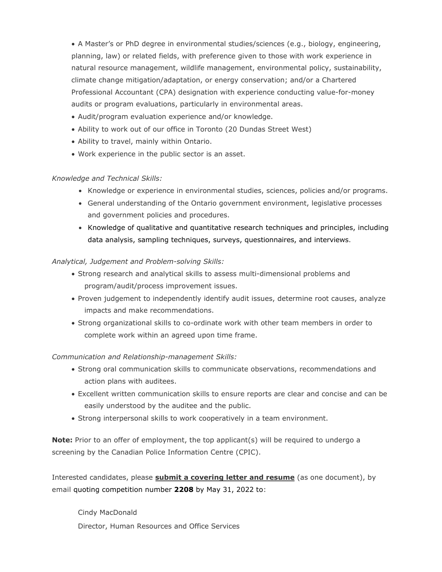• A Master's or PhD degree in environmental studies/sciences (e.g., biology, engineering, planning, law) or related fields, with preference given to those with work experience in natural resource management, wildlife management, environmental policy, sustainability, climate change mitigation/adaptation, or energy conservation; and/or a Chartered Professional Accountant (CPA) designation with experience conducting value-for-money audits or program evaluations, particularly in environmental areas.

- Audit/program evaluation experience and/or knowledge.
- Ability to work out of our office in Toronto (20 Dundas Street West)
- Ability to travel, mainly within Ontario.
- Work experience in the public sector is an asset.

#### *Knowledge and Technical Skills:*

- Knowledge or experience in environmental studies, sciences, policies and/or programs.
- General understanding of the Ontario government environment, legislative processes and government policies and procedures.
- Knowledge of qualitative and quantitative research techniques and principles, including data analysis, sampling techniques, surveys, questionnaires, and interviews.

#### *Analytical, Judgement and Problem-solving Skills:*

- Strong research and analytical skills to assess multi-dimensional problems and program/audit/process improvement issues.
- Proven judgement to independently identify audit issues, determine root causes, analyze impacts and make recommendations.
- Strong organizational skills to co-ordinate work with other team members in order to complete work within an agreed upon time frame.

#### *Communication and Relationship-management Skills:*

- Strong oral communication skills to communicate observations, recommendations and action plans with auditees.
- Excellent written communication skills to ensure reports are clear and concise and can be easily understood by the auditee and the public.
- Strong interpersonal skills to work cooperatively in a team environment.

**Note:** Prior to an offer of employment, the top applicant(s) will be required to undergo a screening by the Canadian Police Information Centre (CPIC).

Interested candidates, please **submit a covering letter and resume** (as one document), by email quoting competition number **2208** by May 31, 2022 to:

Cindy MacDonald Director, Human Resources and Office Services